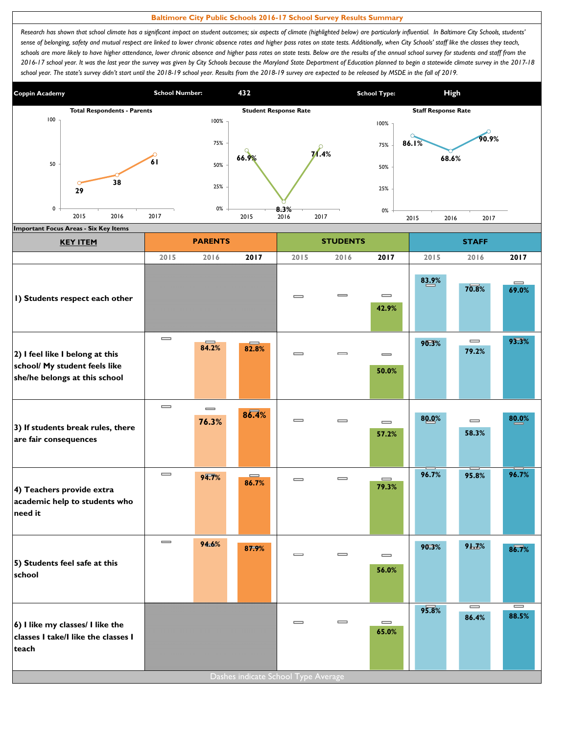## **Baltimore City Public Schools 2016-17 School Survey Results Summary**

Research has shown that school climate has a significant impact on student outcomes; six aspects of climate (highlighted below) are particularly influential. In Baltimore City Schools, students' sense of belonging, safety and mutual respect are linked to lower chronic absence rates and higher pass rates on state tests. Additionally, when City Schools' staff like the classes they teach, schools are more likely to have higher attendance, lower chronic absence and higher pass rates on state tests. Below are the results of the annual school survey for students and staff from the *2016-17 school year. It was the last year the survey was given by City Schools because the Maryland State Department of Education planned to begin a statewide climate survey in the 2017-18*  school year. The state's survey didn't start until the 2018-19 school year. Results from the 2018-19 survey are expected to be released by MSDE in the fall of 2019.



| <b>KEY ITEM</b>                                                                                   |                              | <b>PARENTS</b>    |                   |                              | <b>STUDENTS</b>              |                                                | <b>STAFF</b> |                                       |                                       |
|---------------------------------------------------------------------------------------------------|------------------------------|-------------------|-------------------|------------------------------|------------------------------|------------------------------------------------|--------------|---------------------------------------|---------------------------------------|
|                                                                                                   | 2015                         | 2016              | 2017              | 2015                         | 2016                         | 2017                                           | 2015         | 2016                                  | 2017                                  |
| I) Students respect each other                                                                    |                              |                   |                   | $\equiv$                     | $\equiv$                     | $\qquad \qquad \blacksquare$<br>42.9%          | 83.9%        | 70.8%                                 | $\equiv$<br>69.0%                     |
| 2) I feel like I belong at this<br>school/ My student feels like<br>she/he belongs at this school | $\qquad \qquad \blacksquare$ | 84.2%             | 82.8%             | $\qquad \qquad \blacksquare$ | $\equiv$                     | $\qquad \qquad \blacksquare$<br>50.0%          | 90.3%        | $\qquad \qquad =$<br>79.2%            | 93.3%                                 |
| 3) If students break rules, there<br>are fair consequences                                        | $\equiv$                     | $\equiv$<br>76.3% | 86.4%             | $\equiv$                     | $\equiv$                     | $\qquad \qquad \blacksquare$<br>57.2%          | 80.0%        | $\qquad \qquad \blacksquare$<br>58.3% | 80.0%                                 |
| 4) Teachers provide extra<br>academic help to students who<br>need it                             | $\qquad \qquad \blacksquare$ | 94.7%             | $\equiv$<br>86.7% | $\qquad \qquad \blacksquare$ | $\qquad \qquad \blacksquare$ | $\qquad \qquad \qquad =\qquad \qquad$<br>79.3% | 96.7%        | 95.8%                                 | 96.7%                                 |
| 5) Students feel safe at this<br>school                                                           | $\qquad \qquad \blacksquare$ | 94.6%             | 87.9%             | $\equiv$                     | $\equiv$                     | $\qquad \qquad \blacksquare$<br>56.0%          | 90.3%        | 9L7%                                  | 86.7%                                 |
| 6) I like my classes/ I like the<br>classes I take/I like the classes I<br>teach                  |                              |                   |                   | $\equiv$                     | $\equiv$                     | $\qquad \qquad =$<br>65.0%                     | 95.8%        | $\qquad \qquad \blacksquare$<br>86.4% | $\qquad \qquad \blacksquare$<br>88.5% |